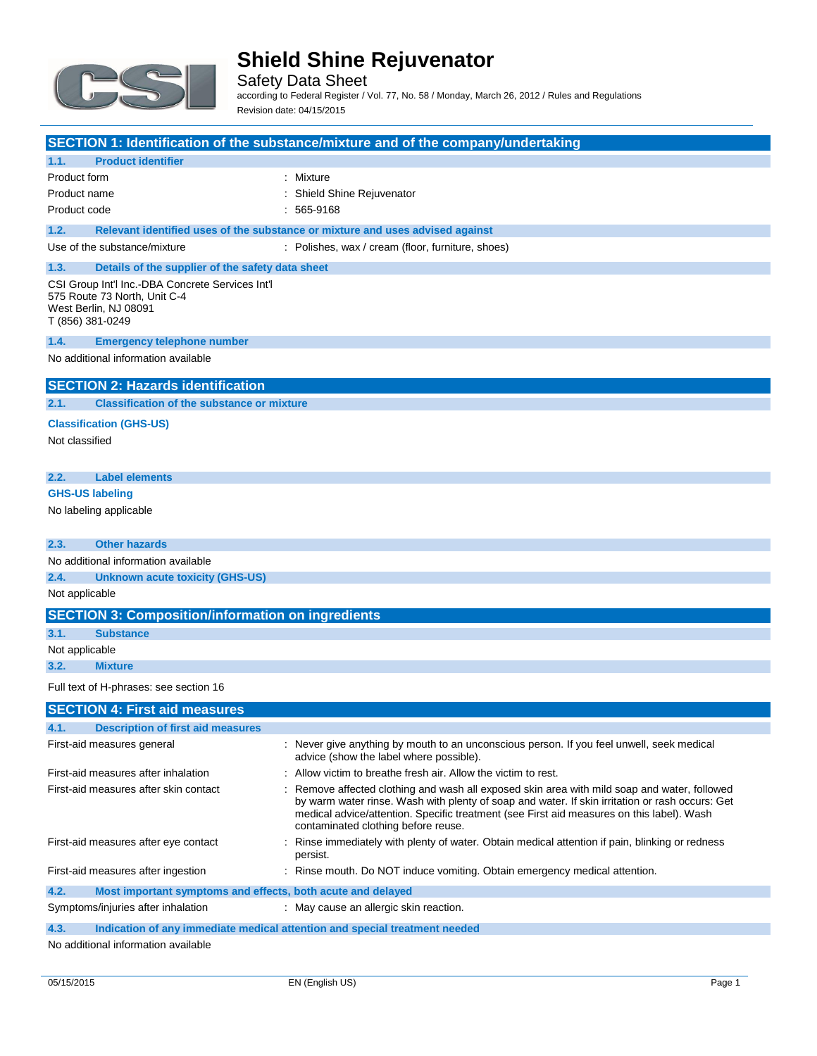

Safety Data Sheet according to Federal Register / Vol. 77, No. 58 / Monday, March 26, 2012 / Rules and Regulations Revision date: 04/15/2015

|                                                                                                                               | SECTION 1: Identification of the substance/mixture and of the company/undertaking                                                                                                                                                                                                                                                 |
|-------------------------------------------------------------------------------------------------------------------------------|-----------------------------------------------------------------------------------------------------------------------------------------------------------------------------------------------------------------------------------------------------------------------------------------------------------------------------------|
| <b>Product identifier</b><br>1.1.                                                                                             |                                                                                                                                                                                                                                                                                                                                   |
| Product form                                                                                                                  | Mixture                                                                                                                                                                                                                                                                                                                           |
| Product name                                                                                                                  | Shield Shine Rejuvenator                                                                                                                                                                                                                                                                                                          |
| Product code                                                                                                                  | 565-9168                                                                                                                                                                                                                                                                                                                          |
| 1.2.                                                                                                                          | Relevant identified uses of the substance or mixture and uses advised against                                                                                                                                                                                                                                                     |
| Use of the substance/mixture                                                                                                  | : Polishes, wax / cream (floor, furniture, shoes)                                                                                                                                                                                                                                                                                 |
| 1.3.<br>Details of the supplier of the safety data sheet                                                                      |                                                                                                                                                                                                                                                                                                                                   |
| CSI Group Int'l Inc.-DBA Concrete Services Int'l<br>575 Route 73 North, Unit C-4<br>West Berlin, NJ 08091<br>T (856) 381-0249 |                                                                                                                                                                                                                                                                                                                                   |
| 1.4.<br><b>Emergency telephone number</b>                                                                                     |                                                                                                                                                                                                                                                                                                                                   |
| No additional information available                                                                                           |                                                                                                                                                                                                                                                                                                                                   |
| <b>SECTION 2: Hazards identification</b>                                                                                      |                                                                                                                                                                                                                                                                                                                                   |
| 2.1.<br><b>Classification of the substance or mixture</b>                                                                     |                                                                                                                                                                                                                                                                                                                                   |
| <b>Classification (GHS-US)</b>                                                                                                |                                                                                                                                                                                                                                                                                                                                   |
| Not classified                                                                                                                |                                                                                                                                                                                                                                                                                                                                   |
|                                                                                                                               |                                                                                                                                                                                                                                                                                                                                   |
| 2.2.<br><b>Label elements</b>                                                                                                 |                                                                                                                                                                                                                                                                                                                                   |
| <b>GHS-US labeling</b>                                                                                                        |                                                                                                                                                                                                                                                                                                                                   |
| No labeling applicable                                                                                                        |                                                                                                                                                                                                                                                                                                                                   |
| 2.3.<br><b>Other hazards</b>                                                                                                  |                                                                                                                                                                                                                                                                                                                                   |
| No additional information available                                                                                           |                                                                                                                                                                                                                                                                                                                                   |
| 2.4.<br><b>Unknown acute toxicity (GHS-US)</b>                                                                                |                                                                                                                                                                                                                                                                                                                                   |
| Not applicable                                                                                                                |                                                                                                                                                                                                                                                                                                                                   |
| <b>SECTION 3: Composition/information on ingredients</b>                                                                      |                                                                                                                                                                                                                                                                                                                                   |
| 3.1.<br><b>Substance</b>                                                                                                      |                                                                                                                                                                                                                                                                                                                                   |
| Not applicable                                                                                                                |                                                                                                                                                                                                                                                                                                                                   |
| 3.2.<br><b>Mixture</b>                                                                                                        |                                                                                                                                                                                                                                                                                                                                   |
| Full text of H-phrases: see section 16                                                                                        |                                                                                                                                                                                                                                                                                                                                   |
| <b>SECTION 4: First aid measures</b>                                                                                          |                                                                                                                                                                                                                                                                                                                                   |
| <b>Description of first aid measures</b>                                                                                      |                                                                                                                                                                                                                                                                                                                                   |
| First-aid measures general                                                                                                    | : Never give anything by mouth to an unconscious person. If you feel unwell, seek medical<br>advice (show the label where possible).                                                                                                                                                                                              |
| First-aid measures after inhalation                                                                                           | : Allow victim to breathe fresh air. Allow the victim to rest.                                                                                                                                                                                                                                                                    |
| First-aid measures after skin contact                                                                                         | Remove affected clothing and wash all exposed skin area with mild soap and water, followed<br>by warm water rinse. Wash with plenty of soap and water. If skin irritation or rash occurs: Get<br>medical advice/attention. Specific treatment (see First aid measures on this label). Wash<br>contaminated clothing before reuse. |
| First-aid measures after eye contact                                                                                          | Rinse immediately with plenty of water. Obtain medical attention if pain, blinking or redness<br>persist.                                                                                                                                                                                                                         |
| First-aid measures after ingestion                                                                                            | Rinse mouth. Do NOT induce vomiting. Obtain emergency medical attention.                                                                                                                                                                                                                                                          |
| 4.2.<br>Most important symptoms and effects, both acute and delayed                                                           |                                                                                                                                                                                                                                                                                                                                   |
| Symptoms/injuries after inhalation                                                                                            | : May cause an allergic skin reaction.                                                                                                                                                                                                                                                                                            |

No additional information available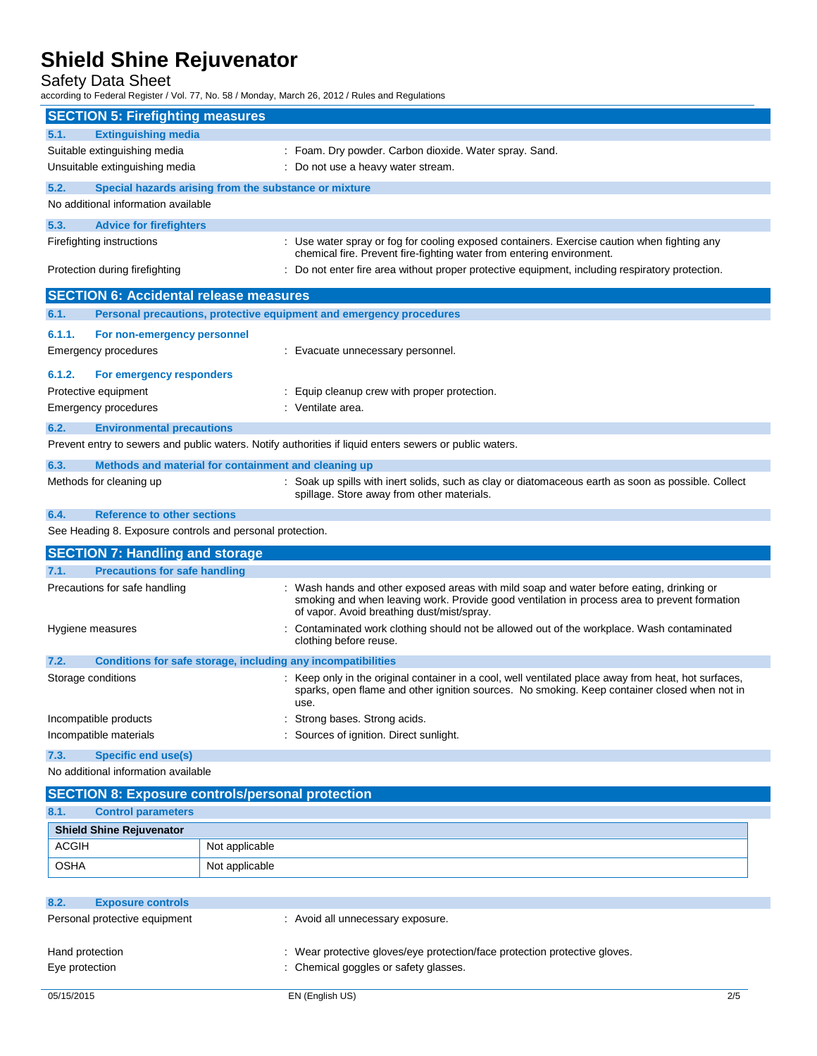Safety Data Sheet

according to Federal Register / Vol. 77, No. 58 / Monday, March 26, 2012 / Rules and Regulations

| <b>SECTION 5: Firefighting measures</b>                                                                 |                                                                                                                                                                      |
|---------------------------------------------------------------------------------------------------------|----------------------------------------------------------------------------------------------------------------------------------------------------------------------|
| <b>Extinguishing media</b><br>5.1.                                                                      |                                                                                                                                                                      |
| Suitable extinguishing media                                                                            | : Foam. Dry powder. Carbon dioxide. Water spray. Sand.                                                                                                               |
| Unsuitable extinguishing media                                                                          | : Do not use a heavy water stream.                                                                                                                                   |
| 5.2.<br>Special hazards arising from the substance or mixture                                           |                                                                                                                                                                      |
| No additional information available                                                                     |                                                                                                                                                                      |
|                                                                                                         |                                                                                                                                                                      |
| 5.3.<br><b>Advice for firefighters</b>                                                                  |                                                                                                                                                                      |
| Firefighting instructions                                                                               | : Use water spray or fog for cooling exposed containers. Exercise caution when fighting any<br>chemical fire. Prevent fire-fighting water from entering environment. |
| Protection during firefighting                                                                          | Do not enter fire area without proper protective equipment, including respiratory protection.                                                                        |
|                                                                                                         |                                                                                                                                                                      |
| <b>SECTION 6: Accidental release measures</b>                                                           |                                                                                                                                                                      |
| Personal precautions, protective equipment and emergency procedures<br>6.1.                             |                                                                                                                                                                      |
| 6.1.1.<br>For non-emergency personnel                                                                   |                                                                                                                                                                      |
| Emergency procedures                                                                                    | : Evacuate unnecessary personnel.                                                                                                                                    |
| 6.1.2.<br>For emergency responders                                                                      |                                                                                                                                                                      |
| Protective equipment                                                                                    | : Equip cleanup crew with proper protection.                                                                                                                         |
| <b>Emergency procedures</b>                                                                             | : Ventilate area.                                                                                                                                                    |
| 6.2.<br><b>Environmental precautions</b>                                                                |                                                                                                                                                                      |
| Prevent entry to sewers and public waters. Notify authorities if liquid enters sewers or public waters. |                                                                                                                                                                      |
| 6.3.<br>Methods and material for containment and cleaning up                                            |                                                                                                                                                                      |
| Methods for cleaning up                                                                                 | : Soak up spills with inert solids, such as clay or diatomaceous earth as soon as possible. Collect                                                                  |
|                                                                                                         | spillage. Store away from other materials.                                                                                                                           |
| 6.4.<br><b>Reference to other sections</b>                                                              |                                                                                                                                                                      |
| See Heading 8. Exposure controls and personal protection.                                               |                                                                                                                                                                      |
| <b>SECTION 7: Handling and storage</b>                                                                  |                                                                                                                                                                      |
| <b>Precautions for safe handling</b><br>7.1.                                                            |                                                                                                                                                                      |
| Precautions for safe handling                                                                           | Wash hands and other exposed areas with mild soap and water before eating, drinking or                                                                               |
|                                                                                                         | smoking and when leaving work. Provide good ventilation in process area to prevent formation<br>of vapor. Avoid breathing dust/mist/spray.                           |
| Hygiene measures                                                                                        | Contaminated work clothing should not be allowed out of the workplace. Wash contaminated                                                                             |
|                                                                                                         | clothing before reuse.                                                                                                                                               |
| Conditions for safe storage, including any incompatibilities<br>7.2.                                    |                                                                                                                                                                      |
| Storage conditions                                                                                      | : Keep only in the original container in a cool, well ventilated place away from heat, hot surfaces,                                                                 |
|                                                                                                         | sparks, open flame and other ignition sources. No smoking. Keep container closed when not in<br>use.                                                                 |
| Incompatible products                                                                                   | Strong bases. Strong acids.                                                                                                                                          |
| Incompatible materials                                                                                  | Sources of ignition. Direct sunlight.                                                                                                                                |
| <b>Specific end use(s)</b><br>7.3.                                                                      |                                                                                                                                                                      |
| No additional information available                                                                     |                                                                                                                                                                      |
|                                                                                                         |                                                                                                                                                                      |
| <b>SECTION 8: Exposure controls/personal protection</b>                                                 |                                                                                                                                                                      |
| 8.1.<br><b>Control parameters</b><br><b>Chield Chine Deimenster</b>                                     |                                                                                                                                                                      |

| <b>Shield Shine Rejuvenator</b> |                |
|---------------------------------|----------------|
| <b>ACGIH</b>                    | Not applicable |
| OSHA                            | Not applicable |

| 8.2.<br><b>Exposure controls</b> |                                                                            |     |
|----------------------------------|----------------------------------------------------------------------------|-----|
| Personal protective equipment    | : Avoid all unnecessary exposure.                                          |     |
| Hand protection                  | : Wear protective gloves/eye protection/face protection protective gloves. |     |
| Eye protection                   | : Chemical goggles or safety glasses.                                      |     |
| 05/15/2015                       | EN (English US)                                                            | 2/5 |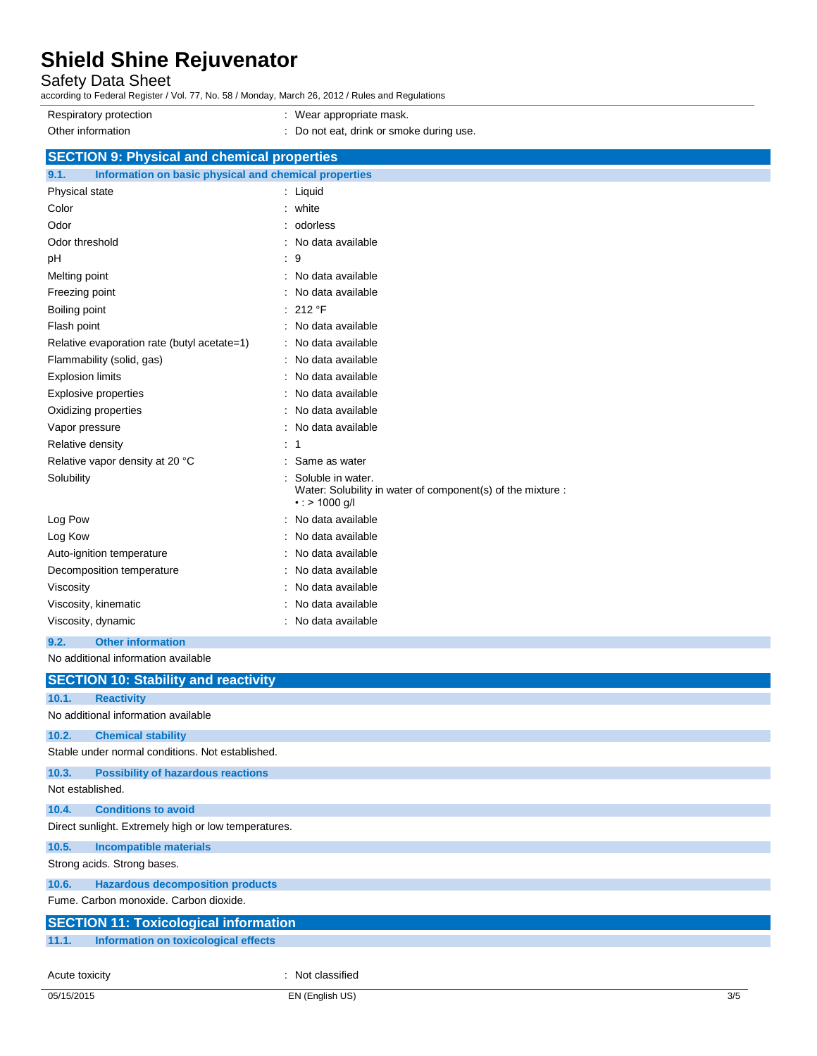Safety Data Sheet

according to Federal Register / Vol. 77, No. 58 / Monday, March 26, 2012 / Rules and Regulations

Respiratory protection **in the set of the COV** wear appropriate mask. Other information **contains the container of the container**  $\blacksquare$  : Do not eat, drink or smoke during use.

## **SECTION 9: Physical and chemical properties**

| 9.1.<br>Information on basic physical and chemical properties |                                                                                                          |
|---------------------------------------------------------------|----------------------------------------------------------------------------------------------------------|
| Physical state                                                | $:$ Liquid                                                                                               |
| Color                                                         | white                                                                                                    |
| Odor                                                          | odorless                                                                                                 |
| Odor threshold                                                | No data available<br>۰                                                                                   |
| pH                                                            | 9<br>t                                                                                                   |
| Melting point                                                 | No data available<br>۰                                                                                   |
| Freezing point                                                | No data available                                                                                        |
| Boiling point                                                 | 212 °F                                                                                                   |
| Flash point                                                   | No data available<br>÷                                                                                   |
| Relative evaporation rate (butyl acetate=1)                   | No data available                                                                                        |
| Flammability (solid, gas)                                     | No data available                                                                                        |
| <b>Explosion limits</b>                                       | No data available<br>$\overline{\phantom{a}}$                                                            |
| Explosive properties                                          | No data available                                                                                        |
| Oxidizing properties                                          | No data available                                                                                        |
| Vapor pressure                                                | No data available                                                                                        |
| Relative density                                              | 1                                                                                                        |
| Relative vapor density at 20 °C                               | Same as water                                                                                            |
| Solubility                                                    | Soluble in water.<br>Water: Solubility in water of component(s) of the mixture :<br>$\cdot$ : > 1000 g/l |
| Log Pow                                                       | No data available                                                                                        |
| Log Kow                                                       | No data available                                                                                        |
| Auto-ignition temperature                                     | No data available                                                                                        |
| Decomposition temperature                                     | No data available                                                                                        |
| Viscosity                                                     | No data available                                                                                        |
| Viscosity, kinematic                                          | No data available                                                                                        |
| Viscosity, dynamic                                            | No data available<br>۰                                                                                   |
| 9.2.<br><b>Other information</b>                              |                                                                                                          |

No additional information available

|                                              | <b>SECTION 10: Stability and reactivity</b>          |                  |  |  |
|----------------------------------------------|------------------------------------------------------|------------------|--|--|
| 10.1.                                        | <b>Reactivity</b>                                    |                  |  |  |
|                                              | No additional information available                  |                  |  |  |
| 10.2.                                        | <b>Chemical stability</b>                            |                  |  |  |
|                                              | Stable under normal conditions. Not established.     |                  |  |  |
| 10.3.                                        | <b>Possibility of hazardous reactions</b>            |                  |  |  |
| Not established.                             |                                                      |                  |  |  |
| 10.4.                                        | <b>Conditions to avoid</b>                           |                  |  |  |
|                                              | Direct sunlight. Extremely high or low temperatures. |                  |  |  |
| 10.5.                                        | <b>Incompatible materials</b>                        |                  |  |  |
| Strong acids. Strong bases.                  |                                                      |                  |  |  |
| 10.6.                                        | <b>Hazardous decomposition products</b>              |                  |  |  |
| Fume. Carbon monoxide. Carbon dioxide.       |                                                      |                  |  |  |
| <b>SECTION 11: Toxicological information</b> |                                                      |                  |  |  |
| 11.1.                                        | Information on toxicological effects                 |                  |  |  |
|                                              |                                                      |                  |  |  |
| Acute toxicity                               |                                                      | : Not classified |  |  |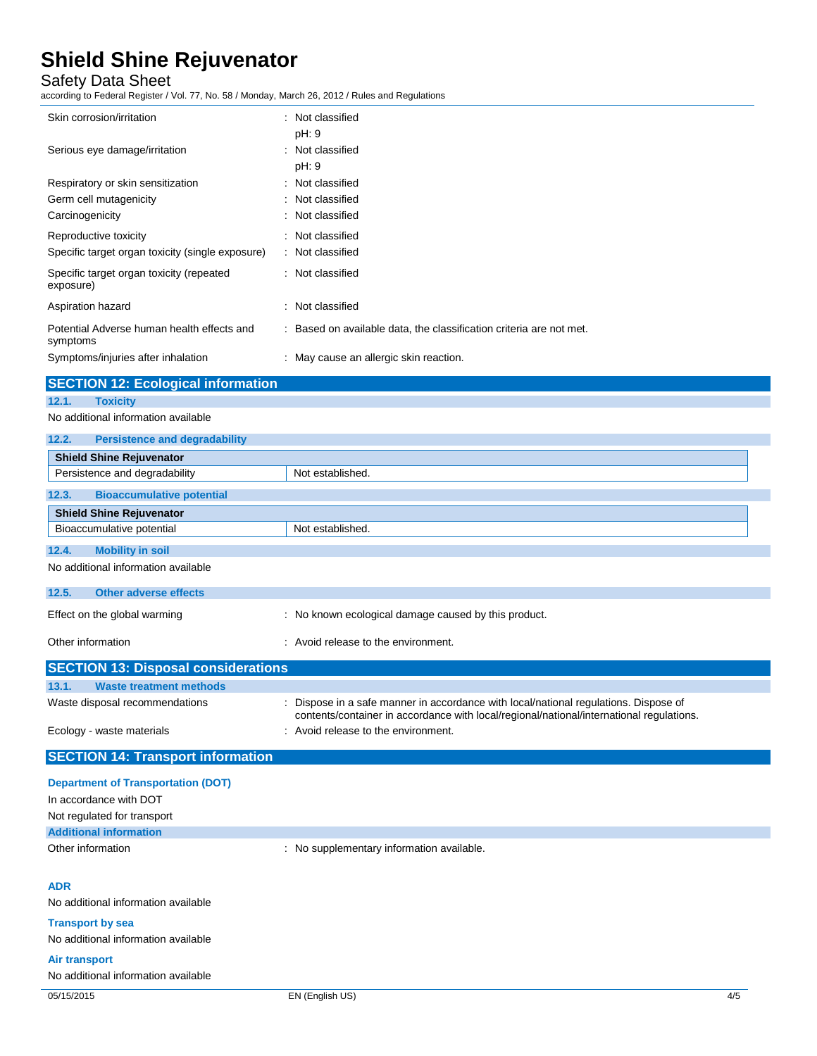### Safety Data Sheet

according to Federal Register / Vol. 77, No. 58 / Monday, March 26, 2012 / Rules and Regulations

| Skin corrosion/irritation                              | : Not classified                                                    |  |
|--------------------------------------------------------|---------------------------------------------------------------------|--|
|                                                        | pH: 9                                                               |  |
| Serious eye damage/irritation                          | : Not classified<br>pH: 9                                           |  |
| Respiratory or skin sensitization                      | : Not classified                                                    |  |
| Germ cell mutagenicity                                 | : Not classified                                                    |  |
| Carcinogenicity                                        | : Not classified                                                    |  |
| Reproductive toxicity                                  | : Not classified                                                    |  |
| Specific target organ toxicity (single exposure)       | : Not classified                                                    |  |
| Specific target organ toxicity (repeated<br>exposure)  | : Not classified                                                    |  |
| Aspiration hazard                                      | : Not classified                                                    |  |
| Potential Adverse human health effects and<br>symptoms | : Based on available data, the classification criteria are not met. |  |
| Symptoms/injuries after inhalation                     | : May cause an allergic skin reaction.                              |  |
| <b>SECTION 12: Ecological information</b>              |                                                                     |  |
| <b>Toxicity</b><br>12.1.                               |                                                                     |  |
| No additional information available                    |                                                                     |  |
| 12.2.<br><b>Persistence and degradability</b>          |                                                                     |  |
| <b>Shield Shine Rejuvenator</b>                        |                                                                     |  |
| Persistence and degradability                          | Not established.                                                    |  |
| 12.3.<br><b>Bioaccumulative potential</b>              |                                                                     |  |
| <b>Shield Shine Rejuvenator</b>                        |                                                                     |  |
| Bioaccumulative potential                              | Not established.                                                    |  |
| <b>Mobility in soil</b><br>12.4.                       |                                                                     |  |
| No additional information available                    |                                                                     |  |
| 12.5.<br><b>Other adverse effects</b>                  |                                                                     |  |

| Effect on the global warming               | : No known ecological damage caused by this product.                                                                                                                             |
|--------------------------------------------|----------------------------------------------------------------------------------------------------------------------------------------------------------------------------------|
| Other information                          | : Avoid release to the environment.                                                                                                                                              |
| <b>SECTION 13: Disposal considerations</b> |                                                                                                                                                                                  |
| 13.1.<br><b>Waste treatment methods</b>    |                                                                                                                                                                                  |
| Waste disposal recommendations             | : Dispose in a safe manner in accordance with local/national regulations. Dispose of<br>contents/container in accordance with local/regional/national/international regulations. |

Ecology - waste materials **Ecology** - waste materials **interval** and  $\overline{a}$  and  $\overline{b}$  are  $\overline{c}$  and  $\overline{c}$  are  $\overline{c}$  and  $\overline{c}$  are  $\overline{c}$  are  $\overline{c}$  are  $\overline{c}$  are  $\overline{c}$  and  $\overline{c}$  are  $\overline{c}$  a

## **Department of Transportation (DOT)**

**SECTION 14: Transport information**

| In accordance with DOT        |                                           |  |
|-------------------------------|-------------------------------------------|--|
| Not regulated for transport   |                                           |  |
| <b>Additional information</b> |                                           |  |
| Other information             | : No supplementary information available. |  |
|                               |                                           |  |
| <b>ADR</b>                    |                                           |  |

No additional information available

**Transport by sea**

No additional information available

### **Air transport**

No additional information available